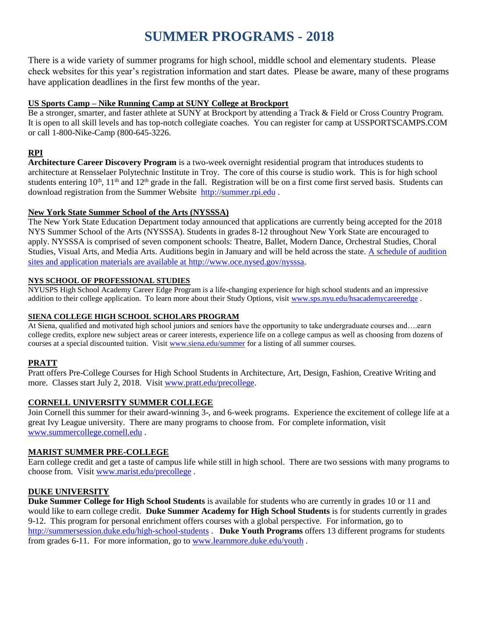# **SUMMER PROGRAMS - 2018**

There is a wide variety of summer programs for high school, middle school and elementary students. Please check websites for this year's registration information and start dates. Please be aware, many of these programs have application deadlines in the first few months of the year.

# **US Sports Camp – Nike Running Camp at SUNY College at Brockport**

Be a stronger, smarter, and faster athlete at SUNY at Brockport by attending a Track & Field or Cross Country Program. It is open to all skill levels and has top-notch collegiate coaches. You can register for camp at USSPORTSCAMPS.COM or call 1-800-Nike-Camp (800-645-3226.

# **RPI**

**Architecture Career Discovery Program** is a two-week overnight residential program that introduces students to architecture at Rensselaer Polytechnic Institute in Troy. The core of this course is studio work. This is for high school students entering  $10^{th}$ ,  $11^{th}$  and  $12^{th}$  grade in the fall. Registration will be on a first come first served basis. Students can download registration from the Summer Website [http://summer.rpi.edu](http://summer.rpi.edu/) .

# **New York State Summer School of the Arts (NYSSSA)**

The New York State Education Department today announced that applications are currently being accepted for the 2018 NYS Summer School of the Arts (NYSSSA). Students in grades 8-12 throughout New York State are encouraged to apply. NYSSSA is comprised of seven component schools: Theatre, Ballet, Modern Dance, Orchestral Studies, Choral Studies, Visual Arts, and Media Arts. Auditions begin in January and will be held across the state. [A schedule of audition](file://///schodack_cs/shared/HS/Guidance/Guidance%20Info/A%20schedule%20of%20audition%20sites%20and%20application%20materials%20are%20available%20at%20http:/www.oce.nysed.gov/nysssa)  [sites and application materials are available at](file://///schodack_cs/shared/HS/Guidance/Guidance%20Info/A%20schedule%20of%20audition%20sites%20and%20application%20materials%20are%20available%20at%20http:/www.oce.nysed.gov/nysssa) http://www.oce.nysed.gov/nysssa.

## **NYS SCHOOL OF PROFESSIONAL STUDIES**

NYUSPS High School Academy Career Edge Program is a life-changing experience for high school students and an impressive addition to their college application. To learn more about their Study Options, visit [www.sps.nyu.edu/hsacademycareeredge](http://www.sps.nyu.edu/hsacademycareeredge) .

## **SIENA COLLEGE HIGH SCHOOL SCHOLARS PROGRAM**

At Siena, qualified and motivated high school juniors and seniors have the opportunity to take undergraduate courses and….earn college credits, explore new subject areas or career interests, experience life on a college campus as well as choosing from dozens of courses at a special discounted tuition. Visit [www.siena.edu/summer](http://www.siena.edu/summer) for a listing of all summer courses.

# **PRATT**

Pratt offers Pre-College Courses for High School Students in Architecture, Art, Design, Fashion, Creative Writing and more. Classes start July 2, 2018. Visit [www.pratt.edu/precollege.](http://www.pratt.edu/precollege)

# **CORNELL UNIVERSITY SUMMER COLLEGE**

Join Cornell this summer for their award-winning 3-, and 6-week programs. Experience the excitement of college life at a great Ivy League university. There are many programs to choose from. For complete information, visit [www.summercollege.cornell.edu](http://www.summercollege.cornell.edu/) .

# **MARIST SUMMER PRE-COLLEGE**

Earn college credit and get a taste of campus life while still in high school. There are two sessions with many programs to choose from. Visit [www.marist.edu/precollege](http://www.marist.edu/precollege) .

# **DUKE UNIVERSITY**

**Duke Summer College for High School Students** is available for students who are currently in grades 10 or 11 and would like to earn college credit. **Duke Summer Academy for High School Students** is for students currently in grades 9-12. This program for personal enrichment offers courses with a global perspective. For information, go to <http://summersession.duke.edu/high-school-students> . **Duke Youth Programs** offers 13 different programs for students from grades 6-11. For more information, go to [www.learnmore.duke.edu/youth](http://www.learnmore.duke.edu/youth) .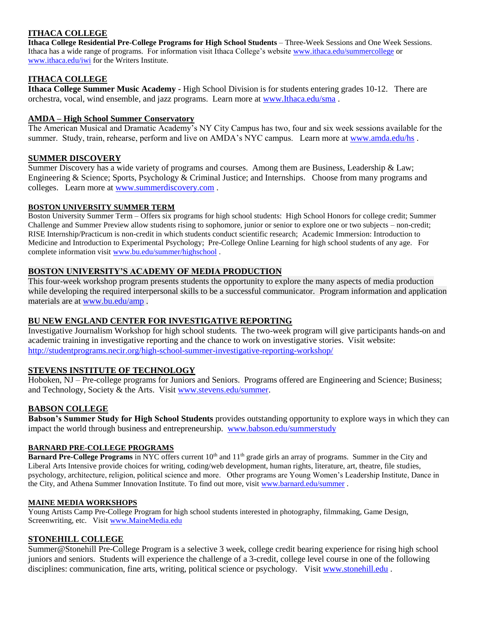# **ITHACA COLLEGE**

**Ithaca College Residential Pre-College Programs for High School Students** – Three-Week Sessions and One Week Sessions. Ithaca has a wide range of programs. For information visit Ithaca College's website [www.ithaca.edu/summercollege](http://www.ithaca.edu/summercollege) or [www.ithaca.edu/iwi](http://www.ithaca.edu/iwi) for the Writers Institute.

# **ITHACA COLLEGE**

**Ithaca College Summer Music Academy** - High School Division is for students entering grades 10-12. There are orchestra, vocal, wind ensemble, and jazz programs. Learn more at [www.Ithaca.edu/sma](http://www.ithaca.edu/sma) .

## **AMDA – High School Summer Conservatory**

The American Musical and Dramatic Academy's NY City Campus has two, four and six week sessions available for the summer. Study, train, rehearse, perform and live on AMDA's NYC campus. Learn more at [www.amda.edu/hs](http://www.amda.edu/hs).

## **SUMMER DISCOVERY**

Summer Discovery has a wide variety of programs and courses. Among them are Business, Leadership & Law; Engineering & Science; Sports, Psychology & Criminal Justice; and Internships. Choose from many programs and colleges. Learn more at [www.summerdiscovery.com](http://www.summerdiscovery.com/) .

#### **BOSTON UNIVERSITY SUMMER TERM**

Boston University Summer Term – Offers six programs for high school students: High School Honors for college credit; Summer Challenge and Summer Preview allow students rising to sophomore, junior or senior to explore one or two subjects – non-credit; RISE Internship/Practicum is non-credit in which students conduct scientific research; Academic Immersion: Introduction to Medicine and Introduction to Experimental Psychology; Pre-College Online Learning for high school students of any age. For complete information visit [www.bu.edu/summer/highschool](http://www.bu.edu/summer/highschool) .

# **BOSTON UNIVERSITY'S ACADEMY OF MEDIA PRODUCTION**

This four-week workshop program presents students the opportunity to explore the many aspects of media production while developing the required interpersonal skills to be a successful communicator. Program information and application materials are at [www.bu.edu/amp](http://www.bu.edu/amp) .

## **BU NEW ENGLAND CENTER FOR INVESTIGATIVE REPORTING**

Investigative Journalism Workshop for high school students. The two-week program will give participants hands-on and academic training in investigative reporting and the chance to work on investigative stories. Visit website: <http://studentprograms.necir.org/high-school-summer-investigative-reporting-workshop/>

## **STEVENS INSTITUTE OF TECHNOLOGY**

Hoboken, NJ – Pre-college programs for Juniors and Seniors. Programs offered are Engineering and Science; Business; and Technology, Society & the Arts. Visit [www.stevens.edu/summer.](http://www.stevens.edu/summer)

# **BABSON COLLEGE**

**Babson's Summer Study for High School Students** provides outstanding opportunity to explore ways in which they can impact the world through business and entrepreneurship. [www.babson.edu/summerstudy](http://www.babson.edu/summerstudy)

#### **BARNARD PRE-COLLEGE PROGRAMS**

**Barnard Pre-College Programs** in NYC offers current 10<sup>th</sup> and 11<sup>th</sup> grade girls an array of programs. Summer in the City and Liberal Arts Intensive provide choices for writing, coding/web development, human rights, literature, art, theatre, file studies, psychology, architecture, religion, political science and more. Other programs are Young Women's Leadership Institute, Dance in the City, and Athena Summer Innovation Institute. To find out more, visit [www.barnard.edu/summer](http://www.barnard.edu/summer) .

#### **MAINE MEDIA WORKSHOPS**

Young Artists Camp Pre-College Program for high school students interested in photography, filmmaking, Game Design, Screenwriting, etc. Visi[t www.MaineMedia.edu](http://www.mainemedia.edu/)

## **STONEHILL COLLEGE**

Summer@Stonehill Pre-College Program is a selective 3 week, college credit bearing experience for rising high school juniors and seniors. Students will experience the challenge of a 3-credit, college level course in one of the following disciplines: communication, fine arts, writing, political science or psychology. Visit [www.stonehill.edu](http://www.stonehill.edu/) .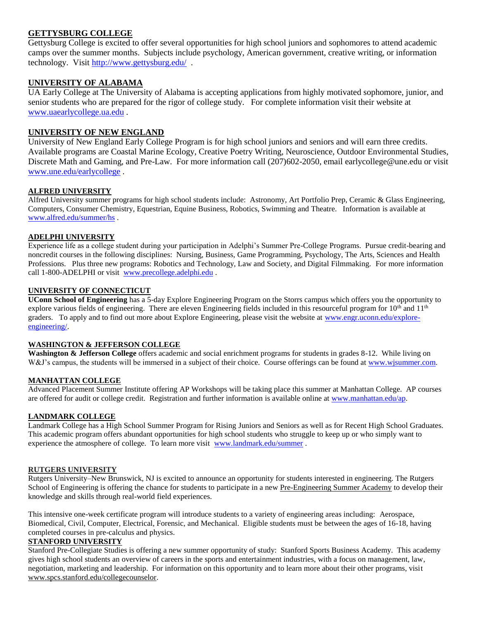## **GETTYSBURG COLLEGE**

Gettysburg College is excited to offer several opportunities for high school juniors and sophomores to attend academic camps over the summer months. Subjects include psychology, American government, creative writing, or information technology. Visit <http://www.gettysburg.edu/>.

#### **UNIVERSITY OF ALABAMA**

UA Early College at The University of Alabama is accepting applications from highly motivated sophomore, junior, and senior students who are prepared for the rigor of college study. For complete information visit their website at [www.uaearlycollege.ua.edu](http://www.uaearlycollege.ua.edu/) .

#### **UNIVERSITY OF NEW ENGLAND**

University of New England Early College Program is for high school juniors and seniors and will earn three credits. Available programs are Coastal Marine Ecology, Creative Poetry Writing, Neuroscience, Outdoor Environmental Studies, Discrete Math and Gaming, and Pre-Law. For more information call (207)602-2050, email earlycollege@une.edu or visit [www.une.edu/earlycollege](http://www.une.edu/earlycollege) .

## **ALFRED UNIVERSITY**

Alfred University summer programs for high school students include: Astronomy, Art Portfolio Prep, Ceramic & Glass Engineering, Computers, Consumer Chemistry, Equestrian, Equine Business, Robotics, Swimming and Theatre. Information is available at [www.alfred.edu/summer/hs](http://www.alfred.edu/summer/hs) .

# **ADELPHI UNIVERSITY**

Experience life as a college student during your participation in Adelphi's Summer Pre-College Programs. Pursue credit-bearing and noncredit courses in the following disciplines: Nursing, Business, Game Programming, Psychology, The Arts, Sciences and Health Professions. Plus three new programs: Robotics and Technology, Law and Society, and Digital Filmmaking. For more information call 1-800-ADELPHI or visit [www.precollege.adelphi.edu](http://www.precollege.adelphi.edu/) .

#### **UNIVERSITY OF CONNECTICUT**

**UConn School of Engineering** has a 5-day Explore Engineering Program on the Storrs campus which offers you the opportunity to explore various fields of engineering. There are eleven Engineering fields included in this resourceful program for  $10<sup>th</sup>$  and  $11<sup>th</sup>$ graders. To apply and to find out more about Explore Engineering, please visit the website at [www.engr.uconn.edu/explore](http://www.engr.uconn.edu/explore-engineering/)[engineering/.](http://www.engr.uconn.edu/explore-engineering/)

#### **WASHINGTON & JEFFERSON COLLEGE**

**Washington & Jefferson College** offers academic and social enrichment programs for students in grades 8-12. While living on W&J's campus, the students will be immersed in a subject of their choice. Course offerings can be found at [www.wjsummer.com.](http://www.wjsummer.com/)

#### **MANHATTAN COLLEGE**

Advanced Placement Summer Institute offering AP Workshops will be taking place this summer at Manhattan College. AP courses are offered for audit or college credit. Registration and further information is available online at [www.manhattan.edu/ap.](http://www.manhattan.edu/ap)

#### **LANDMARK COLLEGE**

Landmark College has a High School Summer Program for Rising Juniors and Seniors as well as for Recent High School Graduates. This academic program offers abundant opportunities for high school students who struggle to keep up or who simply want to experience the atmosphere of college. To learn more visit [www.landmark.edu/summer](http://www.landmark.edu/summer) .

#### **RUTGERS UNIVERSITY**

Rutgers University–New Brunswick, NJ is excited to announce an opportunity for students interested in engineering. The Rutgers School of Engineering is offering the chance for students to participate in a new [Pre-Engineering Summer Academy](http://admissions.rutgers.edu/linkfromemail.aspx?destURL=http://summer.rutgers.edu/precollege-academies/preengineering&linkId=83FB59FFA6242DC5&id1=C644853FA408B089&id2=041FFE3E1809767D) to develop their knowledge and skills through real-world field experiences.

This intensive one-week certificate program will introduce students to a variety of engineering areas including: Aerospace, Biomedical, Civil, Computer, Electrical, Forensic, and Mechanical. Eligible students must be between the ages of 16-18, having completed courses in pre-calculus and physics.

## **STANFORD UNIVERSITY**

Stanford Pre-Collegiate Studies is offering a new summer opportunity of study: Stanford Sports Business Academy. This academy gives high school students an overview of careers in the sports and entertainment industries, with a focus on management, law, negotiation, marketing and leadership. For information on this opportunity and to learn more about their other programs, visit [www.spcs.stanford.edu/collegecounselor.](http://www.spcs.stanford.edu/collegecounselor)